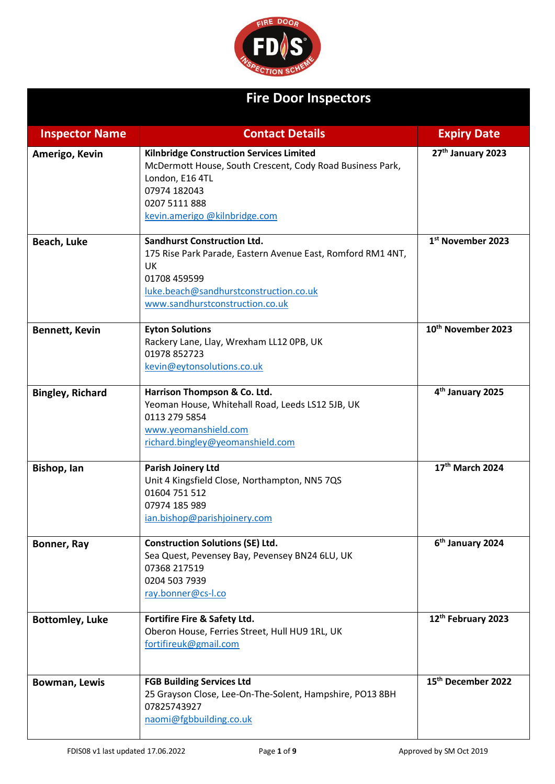

## **Fire Door Inspectors**

| <b>Inspector Name</b>   | <b>Contact Details</b>                                                                                                                                                                               | <b>Expiry Date</b>             |
|-------------------------|------------------------------------------------------------------------------------------------------------------------------------------------------------------------------------------------------|--------------------------------|
| Amerigo, Kevin          | <b>Kilnbridge Construction Services Limited</b><br>McDermott House, South Crescent, Cody Road Business Park,<br>London, E16 4TL<br>07974 182043<br>0207 5111 888<br>kevin.amerigo @kilnbridge.com    | 27th January 2023              |
| Beach, Luke             | <b>Sandhurst Construction Ltd.</b><br>175 Rise Park Parade, Eastern Avenue East, Romford RM1 4NT,<br>UK<br>01708 459599<br>luke.beach@sandhurstconstruction.co.uk<br>www.sandhurstconstruction.co.uk | 1 <sup>st</sup> November 2023  |
| <b>Bennett, Kevin</b>   | <b>Eyton Solutions</b><br>Rackery Lane, Llay, Wrexham LL12 OPB, UK<br>01978 852723<br>kevin@eytonsolutions.co.uk                                                                                     | 10 <sup>th</sup> November 2023 |
| <b>Bingley, Richard</b> | Harrison Thompson & Co. Ltd.<br>Yeoman House, Whitehall Road, Leeds LS12 5JB, UK<br>0113 279 5854<br>www.yeomanshield.com<br>richard.bingley@yeomanshield.com                                        | 4 <sup>th</sup> January 2025   |
| Bishop, lan             | <b>Parish Joinery Ltd</b><br>Unit 4 Kingsfield Close, Northampton, NN5 7QS<br>01604 751 512<br>07974 185 989<br>ian.bishop@parishjoinery.com                                                         | 17th March 2024                |
| Bonner, Ray             | <b>Construction Solutions (SE) Ltd.</b><br>Sea Quest, Pevensey Bay, Pevensey BN24 6LU, UK<br>07368 217519<br>0204 503 7939<br>ray.bonner@cs-I.co                                                     | 6 <sup>th</sup> January 2024   |
| <b>Bottomley, Luke</b>  | Fortifire Fire & Safety Ltd.<br>Oberon House, Ferries Street, Hull HU9 1RL, UK<br>fortifireuk@gmail.com                                                                                              | 12th February 2023             |
| <b>Bowman, Lewis</b>    | <b>FGB Building Services Ltd</b><br>25 Grayson Close, Lee-On-The-Solent, Hampshire, PO13 8BH<br>07825743927<br>naomi@fgbbuilding.co.uk                                                               | 15 <sup>th</sup> December 2022 |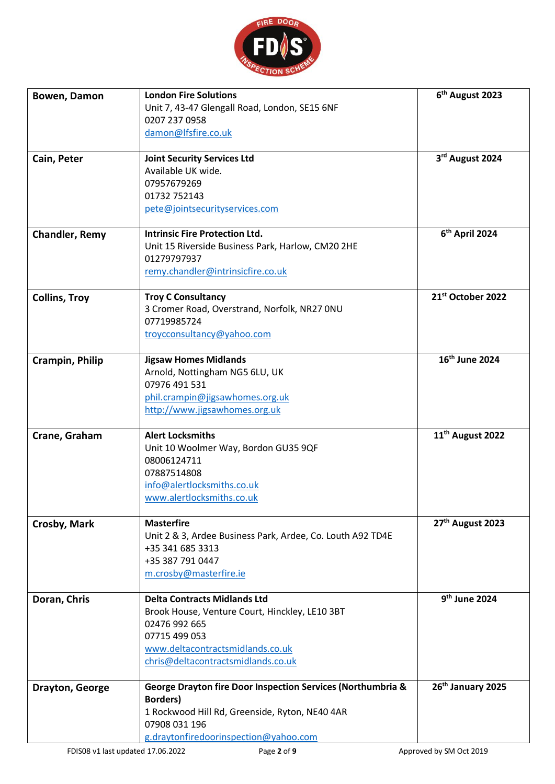

| Bowen, Damon           | <b>London Fire Solutions</b><br>Unit 7, 43-47 Glengall Road, London, SE15 6NF<br>0207 237 0958<br>damon@lfsfire.co.uk                                                                             | 6 <sup>th</sup> August 2023  |
|------------------------|---------------------------------------------------------------------------------------------------------------------------------------------------------------------------------------------------|------------------------------|
| Cain, Peter            | <b>Joint Security Services Ltd</b><br>Available UK wide.<br>07957679269<br>01732 752143<br>pete@jointsecurityservices.com                                                                         | 3rd August 2024              |
| <b>Chandler, Remy</b>  | <b>Intrinsic Fire Protection Ltd.</b><br>Unit 15 Riverside Business Park, Harlow, CM20 2HE<br>01279797937<br>remy.chandler@intrinsicfire.co.uk                                                    | 6 <sup>th</sup> April 2024   |
| <b>Collins, Troy</b>   | <b>Troy C Consultancy</b><br>3 Cromer Road, Overstrand, Norfolk, NR27 ONU<br>07719985724<br>troycconsultancy@yahoo.com                                                                            | 21st October 2022            |
| <b>Crampin, Philip</b> | <b>Jigsaw Homes Midlands</b><br>Arnold, Nottingham NG5 6LU, UK<br>07976 491 531<br>phil.crampin@jigsawhomes.org.uk<br>http://www.jigsawhomes.org.uk                                               | 16 <sup>th</sup> June 2024   |
| Crane, Graham          | <b>Alert Locksmiths</b><br>Unit 10 Woolmer Way, Bordon GU35 9QF<br>08006124711<br>07887514808<br>info@alertlocksmiths.co.uk<br>www.alertlocksmiths.co.uk                                          | 11 <sup>th</sup> August 2022 |
| Crosby, Mark           | <b>Masterfire</b><br>Unit 2 & 3, Ardee Business Park, Ardee, Co. Louth A92 TD4E<br>+35 341 685 3313<br>+35 387 791 0447<br>m.crosby@masterfire.ie                                                 | 27 <sup>th</sup> August 2023 |
| Doran, Chris           | <b>Delta Contracts Midlands Ltd</b><br>Brook House, Venture Court, Hinckley, LE10 3BT<br>02476 992 665<br>07715 499 053<br>www.deltacontractsmidlands.co.uk<br>chris@deltacontractsmidlands.co.uk | 9 <sup>th</sup> June 2024    |
| Drayton, George        | George Drayton fire Door Inspection Services (Northumbria &<br><b>Borders</b> )<br>1 Rockwood Hill Rd, Greenside, Ryton, NE40 4AR<br>07908 031 196<br>g.draytonfiredoorinspection@yahoo.com       | 26th January 2025            |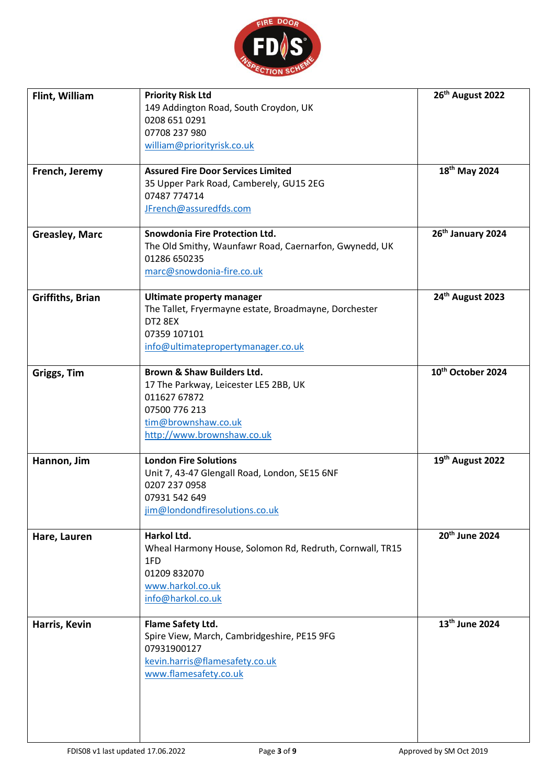

| Flint, William<br>French, Jeremy<br><b>Greasley, Marc</b> | <b>Priority Risk Ltd</b><br>149 Addington Road, South Croydon, UK<br>0208 651 0291<br>07708 237 980<br>william@priorityrisk.co.uk<br><b>Assured Fire Door Services Limited</b><br>35 Upper Park Road, Camberely, GU15 2EG<br>07487 774714<br>JFrench@assuredfds.com<br><b>Snowdonia Fire Protection Ltd.</b> | 26th August 2022<br>18 <sup>th</sup> May 2024<br>26th January 2024 |
|-----------------------------------------------------------|--------------------------------------------------------------------------------------------------------------------------------------------------------------------------------------------------------------------------------------------------------------------------------------------------------------|--------------------------------------------------------------------|
|                                                           | The Old Smithy, Waunfawr Road, Caernarfon, Gwynedd, UK<br>01286 650235<br>marc@snowdonia-fire.co.uk                                                                                                                                                                                                          |                                                                    |
| <b>Griffiths, Brian</b>                                   | <b>Ultimate property manager</b><br>The Tallet, Fryermayne estate, Broadmayne, Dorchester<br>DT2 8EX<br>07359 107101<br>info@ultimatepropertymanager.co.uk                                                                                                                                                   | 24th August 2023                                                   |
| Griggs, Tim                                               | <b>Brown &amp; Shaw Builders Ltd.</b><br>17 The Parkway, Leicester LE5 2BB, UK<br>011627 67872<br>07500 776 213<br>tim@brownshaw.co.uk<br>http://www.brownshaw.co.uk                                                                                                                                         | 10 <sup>th</sup> October 2024                                      |
| Hannon, Jim                                               | <b>London Fire Solutions</b><br>Unit 7, 43-47 Glengall Road, London, SE15 6NF<br>0207 237 0958<br>07931 542 649<br>jim@londondfiresolutions.co.uk                                                                                                                                                            | 19th August 2022                                                   |
| Hare, Lauren                                              | Harkol Ltd.<br>Wheal Harmony House, Solomon Rd, Redruth, Cornwall, TR15<br>1FD<br>01209 832070<br>www.harkol.co.uk<br>info@harkol.co.uk                                                                                                                                                                      | 20 <sup>th</sup> June 2024                                         |
| Harris, Kevin                                             | Flame Safety Ltd.<br>Spire View, March, Cambridgeshire, PE15 9FG<br>07931900127<br>kevin.harris@flamesafety.co.uk<br>www.flamesafety.co.uk                                                                                                                                                                   | 13 <sup>th</sup> June 2024                                         |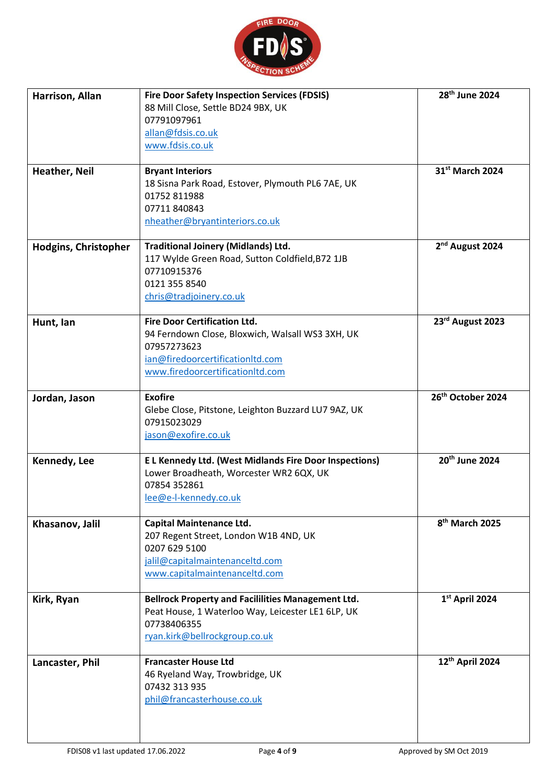

| Harrison, Allan<br>Heather, Neil | <b>Fire Door Safety Inspection Services (FDSIS)</b><br>88 Mill Close, Settle BD24 9BX, UK<br>07791097961<br>allan@fdsis.co.uk<br>www.fdsis.co.uk<br><b>Bryant Interiors</b><br>18 Sisna Park Road, Estover, Plymouth PL6 7AE, UK<br>01752 811988<br>07711 840843<br>nheather@bryantinteriors.co.uk | 28 <sup>th</sup> June 2024<br>31 <sup>st</sup> March 2024 |
|----------------------------------|----------------------------------------------------------------------------------------------------------------------------------------------------------------------------------------------------------------------------------------------------------------------------------------------------|-----------------------------------------------------------|
| <b>Hodgins, Christopher</b>      | <b>Traditional Joinery (Midlands) Ltd.</b><br>117 Wylde Green Road, Sutton Coldfield, B72 1JB<br>07710915376<br>0121 355 8540<br>chris@tradjoinery.co.uk                                                                                                                                           | 2 <sup>nd</sup> August 2024                               |
| Hunt, lan                        | <b>Fire Door Certification Ltd.</b><br>94 Ferndown Close, Bloxwich, Walsall WS3 3XH, UK<br>07957273623<br>ian@firedoorcertificationltd.com<br>www.firedoorcertificationItd.com                                                                                                                     | 23rd August 2023                                          |
| Jordan, Jason                    | <b>Exofire</b><br>Glebe Close, Pitstone, Leighton Buzzard LU7 9AZ, UK<br>07915023029<br>jason@exofire.co.uk                                                                                                                                                                                        | 26 <sup>th</sup> October 2024                             |
| Kennedy, Lee                     | E L Kennedy Ltd. (West Midlands Fire Door Inspections)<br>Lower Broadheath, Worcester WR2 6QX, UK<br>07854 352861<br>lee@e-l-kennedy.co.uk                                                                                                                                                         | 20 <sup>th</sup> June 2024                                |
| Khasanov, Jalil                  | <b>Capital Maintenance Ltd.</b><br>207 Regent Street, London W1B 4ND, UK<br>0207 629 5100<br>jalil@capitalmaintenanceltd.com<br>www.capitalmaintenanceltd.com                                                                                                                                      | 8 <sup>th</sup> March 2025                                |
| Kirk, Ryan                       | <b>Bellrock Property and Facililities Management Ltd.</b><br>Peat House, 1 Waterloo Way, Leicester LE1 6LP, UK<br>07738406355<br>ryan.kirk@bellrockgroup.co.uk                                                                                                                                     | 1st April 2024                                            |
| Lancaster, Phil                  | <b>Francaster House Ltd</b><br>46 Ryeland Way, Trowbridge, UK<br>07432 313 935<br>phil@francasterhouse.co.uk                                                                                                                                                                                       | 12 <sup>th</sup> April 2024                               |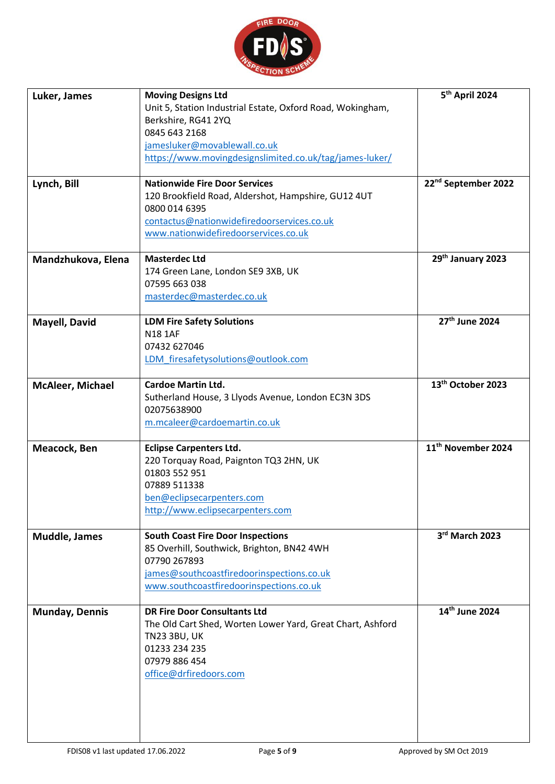

| Luker, James            | <b>Moving Designs Ltd</b>                                  | 5 <sup>th</sup> April 2024      |
|-------------------------|------------------------------------------------------------|---------------------------------|
|                         | Unit 5, Station Industrial Estate, Oxford Road, Wokingham, |                                 |
|                         | Berkshire, RG41 2YQ                                        |                                 |
|                         |                                                            |                                 |
|                         | 0845 643 2168                                              |                                 |
|                         | jamesluker@movablewall.co.uk                               |                                 |
|                         | https://www.movingdesignslimited.co.uk/tag/james-luker/    |                                 |
|                         |                                                            |                                 |
| Lynch, Bill             | <b>Nationwide Fire Door Services</b>                       | 22 <sup>nd</sup> September 2022 |
|                         | 120 Brookfield Road, Aldershot, Hampshire, GU12 4UT        |                                 |
|                         |                                                            |                                 |
|                         | 0800 014 6395                                              |                                 |
|                         | contactus@nationwidefiredoorservices.co.uk                 |                                 |
|                         | www.nationwidefiredoorservices.co.uk                       |                                 |
|                         |                                                            |                                 |
| Mandzhukova, Elena      | <b>Masterdec Ltd</b>                                       | 29th January 2023               |
|                         | 174 Green Lane, London SE9 3XB, UK                         |                                 |
|                         | 07595 663 038                                              |                                 |
|                         | masterdec@masterdec.co.uk                                  |                                 |
|                         |                                                            |                                 |
| Mayell, David           | <b>LDM Fire Safety Solutions</b>                           | 27 <sup>th</sup> June 2024      |
|                         |                                                            |                                 |
|                         | <b>N18 1AF</b>                                             |                                 |
|                         | 07432 627046                                               |                                 |
|                         | LDM firesafetysolutions@outlook.com                        |                                 |
|                         |                                                            |                                 |
| <b>McAleer, Michael</b> | <b>Cardoe Martin Ltd.</b>                                  | 13 <sup>th</sup> October 2023   |
|                         | Sutherland House, 3 Llyods Avenue, London EC3N 3DS         |                                 |
|                         |                                                            |                                 |
|                         | 02075638900                                                |                                 |
|                         | m.mcaleer@cardoemartin.co.uk                               |                                 |
|                         |                                                            | 11 <sup>th</sup> November 2024  |
| Meacock, Ben            | <b>Eclipse Carpenters Ltd.</b>                             |                                 |
|                         | 220 Torquay Road, Paignton TQ3 2HN, UK                     |                                 |
|                         | 01803 552 951                                              |                                 |
|                         | 07889 511338                                               |                                 |
|                         | ben@eclipsecarpenters.com                                  |                                 |
|                         | http://www.eclipsecarpenters.com                           |                                 |
|                         |                                                            |                                 |
|                         |                                                            | 3rd March 2023                  |
| <b>Muddle, James</b>    | <b>South Coast Fire Door Inspections</b>                   |                                 |
|                         | 85 Overhill, Southwick, Brighton, BN42 4WH                 |                                 |
|                         | 07790 267893                                               |                                 |
|                         | james@southcoastfiredoorinspections.co.uk                  |                                 |
|                         | www.southcoastfiredoorinspections.co.uk                    |                                 |
|                         |                                                            |                                 |
| <b>Munday, Dennis</b>   | <b>DR Fire Door Consultants Ltd</b>                        | 14th June 2024                  |
|                         | The Old Cart Shed, Worten Lower Yard, Great Chart, Ashford |                                 |
|                         |                                                            |                                 |
|                         | <b>TN23 3BU, UK</b>                                        |                                 |
|                         | 01233 234 235                                              |                                 |
|                         | 07979 886 454                                              |                                 |
|                         | office@drfiredoors.com                                     |                                 |
|                         |                                                            |                                 |
|                         |                                                            |                                 |
|                         |                                                            |                                 |
|                         |                                                            |                                 |
|                         |                                                            |                                 |
|                         |                                                            |                                 |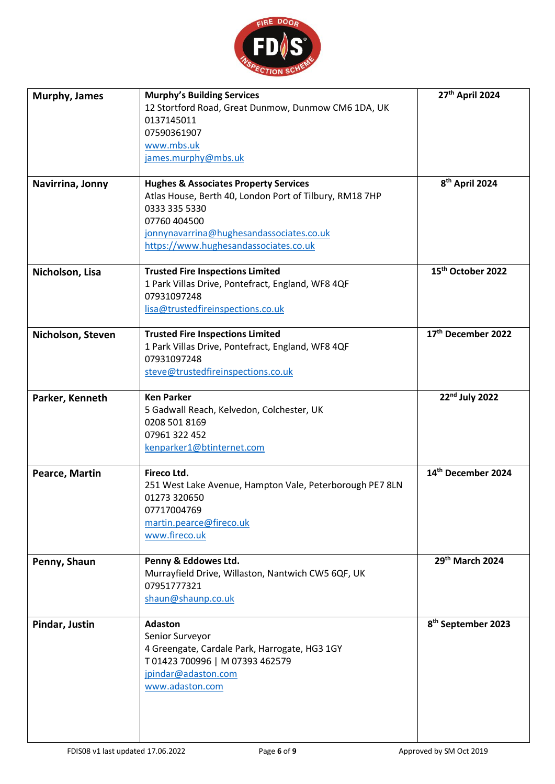

| Murphy, James     | <b>Murphy's Building Services</b><br>12 Stortford Road, Great Dunmow, Dunmow CM6 1DA, UK<br>0137145011<br>07590361907<br>www.mbs.uk<br>james.murphy@mbs.uk                                                                        | 27th April 2024                |
|-------------------|-----------------------------------------------------------------------------------------------------------------------------------------------------------------------------------------------------------------------------------|--------------------------------|
| Navirrina, Jonny  | <b>Hughes &amp; Associates Property Services</b><br>Atlas House, Berth 40, London Port of Tilbury, RM18 7HP<br>0333 335 5330<br>07760 404500<br>jonnynavarrina@hughesandassociates.co.uk<br>https://www.hughesandassociates.co.uk | 8 <sup>th</sup> April 2024     |
| Nicholson, Lisa   | <b>Trusted Fire Inspections Limited</b><br>1 Park Villas Drive, Pontefract, England, WF8 4QF<br>07931097248<br>lisa@trustedfireinspections.co.uk                                                                                  | 15 <sup>th</sup> October 2022  |
| Nicholson, Steven | <b>Trusted Fire Inspections Limited</b><br>1 Park Villas Drive, Pontefract, England, WF8 4QF<br>07931097248<br>steve@trustedfireinspections.co.uk                                                                                 | 17th December 2022             |
| Parker, Kenneth   | <b>Ken Parker</b><br>5 Gadwall Reach, Kelvedon, Colchester, UK<br>0208 501 8169<br>07961 322 452<br>kenparker1@btinternet.com                                                                                                     | $22nd$ July 2022               |
| Pearce, Martin    | Fireco Ltd.<br>251 West Lake Avenue, Hampton Vale, Peterborough PE7 8LN<br>01273 320650<br>07717004769<br>martin.pearce@fireco.uk<br>www.fireco.uk                                                                                | 14th December 2024             |
| Penny, Shaun      | Penny & Eddowes Ltd.<br>Murrayfield Drive, Willaston, Nantwich CW5 6QF, UK<br>07951777321<br>shaun@shaunp.co.uk                                                                                                                   | 29th March 2024                |
| Pindar, Justin    | <b>Adaston</b><br>Senior Surveyor<br>4 Greengate, Cardale Park, Harrogate, HG3 1GY<br>T01423 700996   M07393 462579<br>jpindar@adaston.com<br>www.adaston.com                                                                     | 8 <sup>th</sup> September 2023 |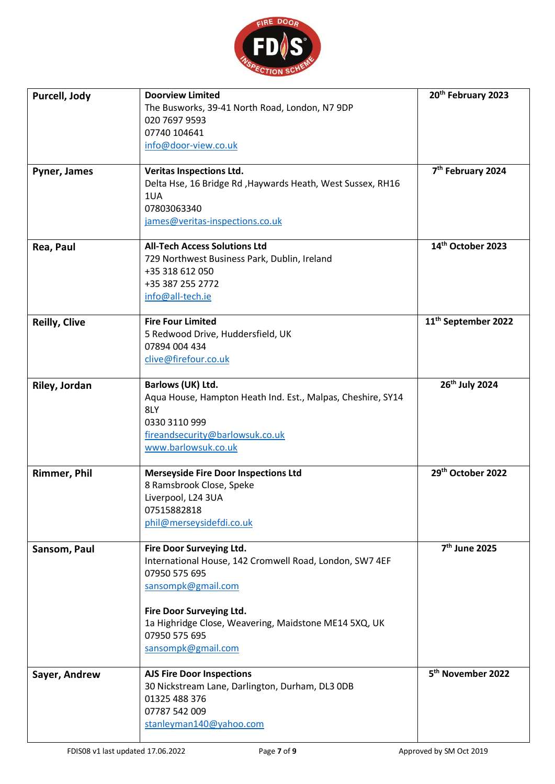

| Purcell, Jody<br>Pyner, James | <b>Doorview Limited</b><br>The Busworks, 39-41 North Road, London, N7 9DP<br>020 7697 9593<br>07740 104641<br>info@door-view.co.uk<br><b>Veritas Inspections Ltd.</b><br>Delta Hse, 16 Bridge Rd, Haywards Heath, West Sussex, RH16<br>1UA<br>07803063340<br>james@veritas-inspections.co.uk | 20th February 2023<br>7 <sup>th</sup> February 2024 |
|-------------------------------|----------------------------------------------------------------------------------------------------------------------------------------------------------------------------------------------------------------------------------------------------------------------------------------------|-----------------------------------------------------|
| Rea, Paul                     | <b>All-Tech Access Solutions Ltd</b><br>729 Northwest Business Park, Dublin, Ireland<br>+35 318 612 050<br>+35 387 255 2772                                                                                                                                                                  | 14th October 2023                                   |
| <b>Reilly, Clive</b>          | info@all-tech.ie<br><b>Fire Four Limited</b><br>5 Redwood Drive, Huddersfield, UK<br>07894 004 434<br>clive@firefour.co.uk                                                                                                                                                                   | 11 <sup>th</sup> September 2022                     |
| Riley, Jordan                 | Barlows (UK) Ltd.<br>Aqua House, Hampton Heath Ind. Est., Malpas, Cheshire, SY14<br>8LY<br>0330 3110 999<br>fireandsecurity@barlowsuk.co.uk<br>www.barlowsuk.co.uk                                                                                                                           | 26 <sup>th</sup> July 2024                          |
| <b>Rimmer, Phil</b>           | <b>Merseyside Fire Door Inspections Ltd</b><br>8 Ramsbrook Close, Speke<br>Liverpool, L24 3UA<br>07515882818<br>phil@merseysidefdi.co.uk                                                                                                                                                     | 29 <sup>th</sup> October 2022                       |
| Sansom, Paul                  | Fire Door Surveying Ltd.<br>International House, 142 Cromwell Road, London, SW7 4EF<br>07950 575 695<br>sansompk@gmail.com<br>Fire Door Surveying Ltd.<br>1a Highridge Close, Weavering, Maidstone ME14 5XQ, UK<br>07950 575 695<br>sansompk@gmail.com                                       | 7 <sup>th</sup> June 2025                           |
| Sayer, Andrew                 | <b>AJS Fire Door Inspections</b><br>30 Nickstream Lane, Darlington, Durham, DL3 ODB<br>01325 488 376<br>07787 542 009<br>stanleyman140@yahoo.com                                                                                                                                             | 5 <sup>th</sup> November 2022                       |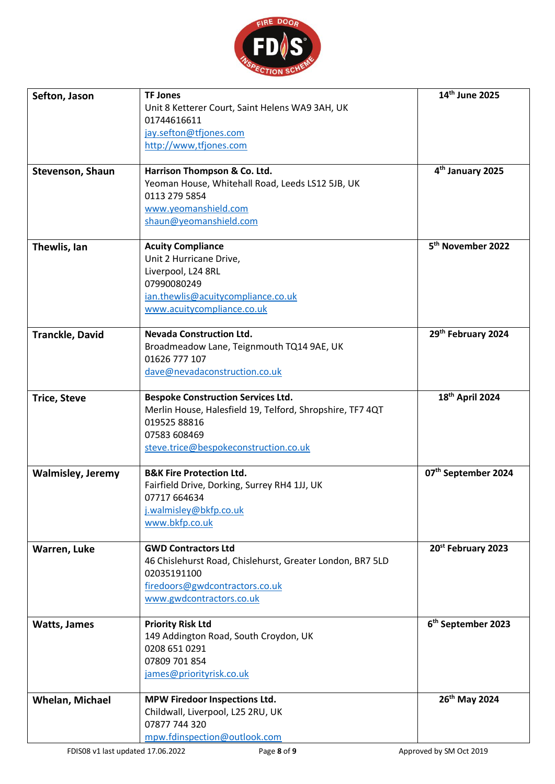

| Sefton, Jason            | <b>TF Jones</b>                                           | 14th June 2025                  |
|--------------------------|-----------------------------------------------------------|---------------------------------|
|                          | Unit 8 Ketterer Court, Saint Helens WA9 3AH, UK           |                                 |
|                          | 01744616611                                               |                                 |
|                          | jay.sefton@tfjones.com                                    |                                 |
|                          | http://www.tfjones.com                                    |                                 |
|                          |                                                           |                                 |
| Stevenson, Shaun         | Harrison Thompson & Co. Ltd.                              | 4 <sup>th</sup> January 2025    |
|                          | Yeoman House, Whitehall Road, Leeds LS12 5JB, UK          |                                 |
|                          | 0113 279 5854                                             |                                 |
|                          | www.yeomanshield.com<br>shaun@yeomanshield.com            |                                 |
|                          |                                                           |                                 |
| Thewlis, Ian             | <b>Acuity Compliance</b>                                  | 5 <sup>th</sup> November 2022   |
|                          | Unit 2 Hurricane Drive,                                   |                                 |
|                          | Liverpool, L24 8RL                                        |                                 |
|                          | 07990080249                                               |                                 |
|                          | ian.thewlis@acuitycompliance.co.uk                        |                                 |
|                          | www.acuitycompliance.co.uk                                |                                 |
|                          |                                                           |                                 |
| <b>Tranckle, David</b>   | <b>Nevada Construction Ltd.</b>                           | 29th February 2024              |
|                          | Broadmeadow Lane, Teignmouth TQ14 9AE, UK                 |                                 |
|                          | 01626 777 107                                             |                                 |
|                          | dave@nevadaconstruction.co.uk                             |                                 |
| <b>Trice, Steve</b>      | <b>Bespoke Construction Services Ltd.</b>                 | 18 <sup>th</sup> April 2024     |
|                          | Merlin House, Halesfield 19, Telford, Shropshire, TF7 4QT |                                 |
|                          | 019525 88816                                              |                                 |
|                          | 07583 608469                                              |                                 |
|                          | steve.trice@bespokeconstruction.co.uk                     |                                 |
|                          |                                                           |                                 |
| <b>Walmisley, Jeremy</b> | <b>B&amp;K Fire Protection Ltd.</b>                       | 07 <sup>th</sup> September 2024 |
|                          | Fairfield Drive, Dorking, Surrey RH4 1JJ, UK              |                                 |
|                          | 07717 664634                                              |                                 |
|                          | j.walmisley@bkfp.co.uk                                    |                                 |
|                          | www.bkfp.co.uk                                            |                                 |
| Warren, Luke             | <b>GWD Contractors Ltd</b>                                | 20 <sup>st</sup> February 2023  |
|                          | 46 Chislehurst Road, Chislehurst, Greater London, BR7 5LD |                                 |
|                          | 02035191100                                               |                                 |
|                          | firedoors@gwdcontractors.co.uk                            |                                 |
|                          | www.gwdcontractors.co.uk                                  |                                 |
|                          |                                                           |                                 |
| <b>Watts, James</b>      | <b>Priority Risk Ltd</b>                                  | 6 <sup>th</sup> September 2023  |
|                          | 149 Addington Road, South Croydon, UK                     |                                 |
|                          | 0208 651 0291<br>07809 701 854                            |                                 |
|                          | james@priorityrisk.co.uk                                  |                                 |
|                          |                                                           |                                 |
| <b>Whelan, Michael</b>   | MPW Firedoor Inspections Ltd.                             | 26 <sup>th</sup> May 2024       |
|                          | Childwall, Liverpool, L25 2RU, UK                         |                                 |
|                          | 07877 744 320                                             |                                 |
|                          | mpw.fdinspection@outlook.com                              |                                 |